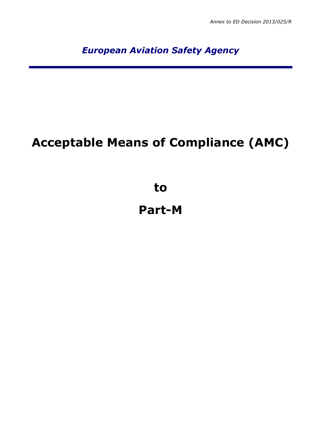*European Aviation Safety Agency*

# **Acceptable Means of Compliance (AMC)**

**to**

# **Part-M**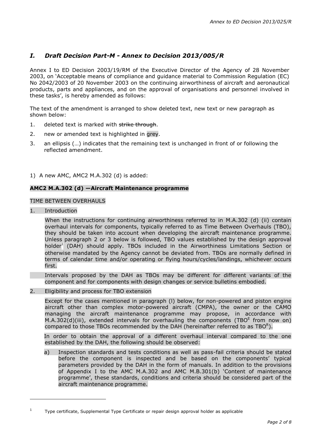# *I. Draft Decision Part-M - Annex to Decision 2013/005/R*

Annex I to ED Decision 2003/19/RM of the Executive Director of the Agency of 28 November 2003, on 'Acceptable means of compliance and guidance material to Commission Regulation (EC) No 2042/2003 of 20 November 2003 on the continuing airworthiness of aircraft and aeronautical products, parts and appliances, and on the approval of organisations and personnel involved in these tasks', is hereby amended as follows:

The text of the amendment is arranged to show deleted text, new text or new paragraph as shown below:

- 1. deleted text is marked with strike through.
- 2. new or amended text is highlighted in grey.
- 3. an ellipsis (…) indicates that the remaining text is unchanged in front of or following the reflected amendment.
- 1) A new AMC, AMC2 M.A.302 (d) is added:

# **AMC2 M.A.302 (d) —Aircraft Maintenance programme**

# TIME BETWEEN OVERHAULS

1. Introduction

-

When the instructions for continuing airworthiness referred to in M.A.302 (d) (ii) contain overhaul intervals for components, typically referred to as Time Between Overhauls (TBO), they should be taken into account when developing the aircraft maintenance programme. Unless paragraph 2 or 3 below is followed, TBO values established by the design approval holder<sup>1</sup> (DAH) should apply. TBOs included in the Airworthiness Limitations Section or otherwise mandated by the Agency cannot be deviated from. TBOs are normally defined in terms of calendar time and/or operating or flying hours/cycles/landings, whichever occurs first.

Intervals proposed by the DAH as TBOs may be different for different variants of the component and for components with design changes or service bulletins embodied.

2. Eligibility and process for TBO extension

Except for the cases mentioned in paragraph (l) below, for non-powered and piston engine aircraft other than complex motor-powered aircraft (CMPA), the owner or the CAMO managing the aircraft maintenance programme may propose, in accordance with M.A.302(d)(iii), extended intervals for overhauling the components (TBO $^E$  from now on) compared to those TBOs recommended by the DAH (hereinafter referred to as TBOR).

In order to obtain the approval of a different overhaul interval compared to the one established by the DAH, the following should be observed:

a) Inspection standards and tests conditions as well as pass-fail criteria should be stated before the component is inspected and be based on the components' typical parameters provided by the DAH in the form of manuals. In addition to the provisions of Appendix I to the AMC M.A.302 and AMC M.B.301(b) 'Content of maintenance programme', these standards, conditions and criteria should be considered part of the aircraft maintenance programme.

<sup>1</sup> Type certificate, Supplemental Type Certificate or repair design approval holder as applicable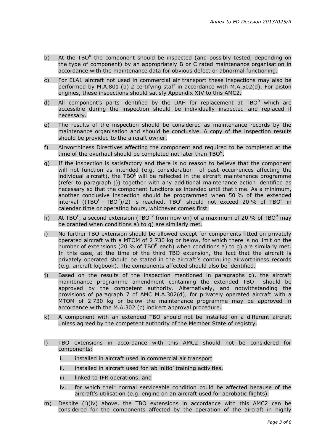- b) At the TBOR the component should be inspected (and possibly tested, depending on the type of component) by an appropriately B or C rated maintenance organisation in accordance with the maintenance data for obvious defect or abnormal functioning.
- c) For ELA1 aircraft not used in commercial air transport these inspections may also be performed by M.A.801 (b) 2 certifying staff in accordance with M.A.502(d). For piston engines, these inspections should satisfy Appendix XIV to this AMC2.
- d) All component's parts identified by the DAH for replacement at TBO $<sup>R</sup>$  which are</sup> accessible during the inspection should be individually inspected and replaced if necessary.
- e) The results of the inspection should be considered as maintenance records by the maintenance organisation and should be conclusive. A copy of the inspection results should be provided to the aircraft owner.
- f) Airworthiness Directives affecting the component and required to be completed at the time of the overhaul should be completed not later than TBO $R$ .
- g) If the inspection is satisfactory and there is no reason to believe that the component will not function as intended (e.g. consideration of past occurrences affecting the individual aircraft), the TBO $<sup>E</sup>$  will be reflected in the aircraft maintenance programme</sup> (refer to paragraph j)) together with any additional maintenance action identified as necessary so that the component functions as intended until that time. As a minimum, another conclusive inspection should be programmed when 50 % of the extended interval ((TBO<sup>E</sup> – TBO<sup>R</sup>)/2) is reached. TBO<sup>E</sup> should not exceed 20 % of TBO<sup>R</sup> in calendar time or operating hours, whichever comes first.
- h) At TBO<sup>E</sup>, a second extension (TBO<sup>E2</sup> from now on) of a maximum of 20 % of TBO<sup>R</sup> may be granted when conditions a) to g) are similarly met.
- i) No further TBO extension should be allowed except for components fitted on privately operated aircraft with a MTOM of 2 730 kg or below, for which there is no limit on the number of extensions (20 % of TBO $^R$  each) when conditions a) to g) are similarly met. In this case, at the time of the third TBO extension, the fact that the aircraft is privately operated should be stated in the aircraft's continuing airworthiness records (e.g. aircraft logbook). The components affected should also be identified.
- j) Based on the results of the inspection mentioned in paragraphs g), the aircraft maintenance programme amendment containing the extended TBO should be approved by the competent authority. Alternatively, and notwithstanding the provisions of paragraph 7 of AMC M.A.302(d), for privately operated aircraft with a MTOM of 2 730 kg or below the maintenance programme may be approved in accordance with the M.A.302 (c) indirect approval procedure.
- k) A component with an extended TBO should not be installed on a different aircraft unless agreed by the competent authority of the Member State of registry.
- l) TBO extensions in accordance with this AMC2 should not be considered for components:
	- i. installed in aircraft used in commercial air transport
	- ii. installed in aircraft used for 'ab initio' training activities,
	- iii. linked to IFR operations, and
	- iv. for which their normal serviceable condition could be affected because of the aircraft's utilisation (e.g. engine on an aircraft used for aerobatic flights).
- m) Despite (l)(iv) above, the TBO extensions in accordance with this AMC2 can be considered for the components affected by the operation of the aircraft in highly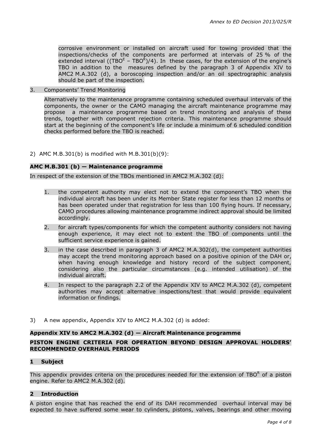corrosive environment or installed on aircraft used for towing provided that the inspections/checks of the components are performed at intervals of 25 % of the extended interval ((TBO $^E$  – TBO $^R$ )/4). In these cases, for the extension of the engine's TBO in addition to the measures defined by the paragraph 3 of Appendix XIV to AMC2 M.A.302 (d), a boroscoping inspection and/or an oil spectrographic analysis should be part of the inspection.

3. Components' Trend Monitoring

Alternatively to the maintenance programme containing scheduled overhaul intervals of the components, the owner or the CAMO managing the aircraft maintenance programme may propose a maintenance programme based on trend monitoring and analysis of these trends, together with component rejection criteria. This maintenance programme should start at the beginning of the component's life or include a minimum of 6 scheduled condition checks performed before the TBO is reached.

2) AMC M.B.301(b) is modified with M.B.301(b)(9):

# **AMC M.B.301 (b) — Maintenance programme**

In respect of the extension of the TBOs mentioned in AMC2 M.A.302 (d):

- 1. the competent authority may elect not to extend the component's TBO when the individual aircraft has been under its Member State register for less than 12 months or has been operated under that registration for less than 100 flying hours. If necessary, CAMO procedures allowing maintenance programme indirect approval should be limited accordingly.
- 2. for aircraft types/components for which the competent authority considers not having enough experience, it may elect not to extent the TBO of components until the sufficient service experience is gained.
- 3. in the case described in paragraph 3 of AMC2 M.A.302(d), the competent authorities may accept the trend monitoring approach based on a positive opinion of the DAH or, when having enough knowledge and history record of the subject component, considering also the particular circumstances (e.g. intended utilisation) of the individual aircraft.
- 4. In respect to the paragraph 2.2 of the Appendix XIV to AMC2 M.A.302 (d), competent authorities may accept alternative inspections/test that would provide equivalent information or findings.
- 3) A new appendix, Appendix XIV to AMC2 M.A.302 (d) is added:

#### **Appendix XIV to AMC2 M.A.302 (d) — Aircraft Maintenance programme**

# **PISTON ENGINE CRITERIA FOR OPERATION BEYOND DESIGN APPROVAL HOLDERS' RECOMMENDED OVERHAUL PERIODS**

# **1 Subject**

This appendix provides criteria on the procedures needed for the extension of TBO $^{\rm R}$  of a piston engine. Refer to AMC2 M.A.302 (d).

# **2 Introduction**

A piston engine that has reached the end of its DAH recommended overhaul interval may be expected to have suffered some wear to cylinders, pistons, valves, bearings and other moving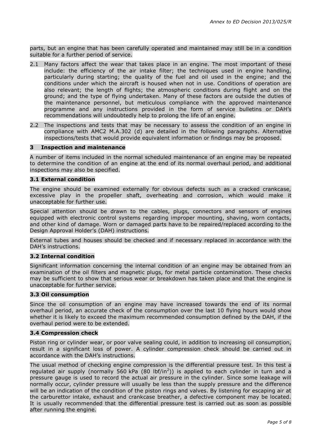parts, but an engine that has been carefully operated and maintained may still be in a condition suitable for a further period of service.

- 2.1 Many factors affect the wear that takes place in an engine. The most important of these include: the efficiency of the air intake filter; the techniques used in engine handling, particularly during starting; the quality of the fuel and oil used in the engine; and the conditions under which the aircraft is housed when not in use. Conditions of operation are also relevant; the length of flights; the atmospheric conditions during flight and on the ground; and the type of flying undertaken. Many of these factors are outside the duties of the maintenance personnel, but meticulous compliance with the approved maintenance programme and any instructions provided in the form of service bulletins or DAH's recommendations will undoubtedly help to prolong the life of an engine.
- 2.2 The inspections and tests that may be necessary to assess the condition of an engine in compliance with AMC2 M.A.302 (d) are detailed in the following paragraphs. Alternative inspections/tests that would provide equivalent information or findings may be proposed.

# **3 Inspection and maintenance**

A number of items included in the normal scheduled maintenance of an engine may be repeated to determine the condition of an engine at the end of its normal overhaul period, and additional inspections may also be specified.

# **3.1 External condition**

The engine should be examined externally for obvious defects such as a cracked crankcase, excessive play in the propeller shaft, overheating and corrosion, which would make it unacceptable for further use.

Special attention should be drawn to the cables, plugs, connectors and sensors of engines equipped with electronic control systems regarding improper mounting, shaving, worn contacts, and other kind of damage. Worn or damaged parts have to be repaired/replaced according to the Design Approval Holder's (DAH) instructions.

External tubes and houses should be checked and if necessary replaced in accordance with the DAH's instructions.

# **3.2 Internal condition**

Significant information concerning the internal condition of an engine may be obtained from an examination of the oil filters and magnetic plugs, for metal particle contamination. These checks may be sufficient to show that serious wear or breakdown has taken place and that the engine is unacceptable for further service.

# **3.3 Oil consumption**

Since the oil consumption of an engine may have increased towards the end of its normal overhaul period, an accurate check of the consumption over the last 10 flying hours would show whether it is likely to exceed the maximum recommended consumption defined by the DAH, if the overhaul period were to be extended.

# **3.4 Compression check**

Piston ring or cylinder wear, or poor valve sealing could, in addition to increasing oil consumption, result in a significant loss of power. A cylinder compression check should be carried out in accordance with the DAH's instructions.

The usual method of checking engine compression is the differential pressure test. In this test a regulated air supply (normally 560 kPa (80 lbf/in<sup>2</sup>)) is applied to each cylinder in turn and a pressure gauge is used to record the actual air pressure in the cylinder. Since some leakage will normally occur, cylinder pressure will usually be less than the supply pressure and the difference will be an indication of the condition of the piston rings and valves. By listening for escaping air at the carburettor intake, exhaust and crankcase breather, a defective component may be located. It is usually recommended that the differential pressure test is carried out as soon as possible after running the engine.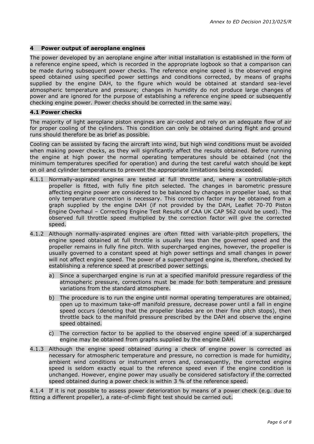# **4 Power output of aeroplane engines**

The power developed by an aeroplane engine after initial installation is established in the form of a reference engine speed, which is recorded in the appropriate logbook so that a comparison can be made during subsequent power checks. The reference engine speed is the observed engine speed obtained using specified power settings and conditions corrected, by means of graphs supplied by the engine DAH, to the figure which would be obtained at standard sea-level atmospheric temperature and pressure; changes in humidity do not produce large changes of power and are ignored for the purpose of establishing a reference engine speed or subsequently checking engine power. Power checks should be corrected in the same way.

# **4.1 Power checks**

The majority of light aeroplane piston engines are air-cooled and rely on an adequate flow of air for proper cooling of the cylinders. This condition can only be obtained during flight and ground runs should therefore be as brief as possible.

Cooling can be assisted by facing the aircraft into wind, but high wind conditions must be avoided when making power checks, as they will significantly affect the results obtained. Before running the engine at high power the normal operating temperatures should be obtained (not the minimum temperatures specified for operation) and during the test careful watch should be kept on oil and cylinder temperatures to prevent the appropriate limitations being exceeded.

- 4.1.1 Normally-aspirated engines are tested at full throttle and, where a controllable-pitch propeller is fitted, with fully fine pitch selected. The changes in barometric pressure affecting engine power are considered to be balanced by changes in propeller load, so that only temperature correction is necessary. This correction factor may be obtained from a graph supplied by the engine DAH (if not provided by the DAH, Leaflet 70-70 Piston Engine Overhaul – Correcting Engine Test Results of CAA UK CAP 562 could be used). The observed full throttle speed multiplied by the correction factor will give the corrected speed.
- 4.1.2 Although normally-aspirated engines are often fitted with variable-pitch propellers, the engine speed obtained at full throttle is usually less than the governed speed and the propeller remains in fully fine pitch. With supercharged engines, however, the propeller is usually governed to a constant speed at high power settings and small changes in power will not affect engine speed. The power of a supercharged engine is, therefore, checked by establishing a reference speed at prescribed power settings.
	- a) Since a supercharged engine is run at a specified manifold pressure regardless of the atmospheric pressure, corrections must be made for both temperature and pressure variations from the standard atmosphere.
	- b) The procedure is to run the engine until normal operating temperatures are obtained, open up to maximum take-off manifold pressure, decrease power until a fall in engine speed occurs (denoting that the propeller blades are on their fine pitch stops), then throttle back to the manifold pressure prescribed by the DAH and observe the engine speed obtained.
	- c) The correction factor to be applied to the observed engine speed of a supercharged engine may be obtained from graphs supplied by the engine DAH.
- 4.1.3 Although the engine speed obtained during a check of engine power is corrected as necessary for atmospheric temperature and pressure, no correction is made for humidity, ambient wind conditions or instrument errors and, consequently, the corrected engine speed is seldom exactly equal to the reference speed even if the engine condition is unchanged. However, engine power may usually be considered satisfactory if the corrected speed obtained during a power check is within 3 % of the reference speed.

4.1.4 If it is not possible to assess power deterioration by means of a power check (e.g. due to fitting a different propeller), a rate-of-climb flight test should be carried out.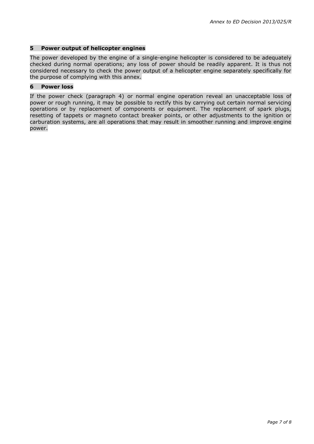# **5 Power output of helicopter engines**

The power developed by the engine of a single-engine helicopter is considered to be adequately checked during normal operations; any loss of power should be readily apparent. It is thus not considered necessary to check the power output of a helicopter engine separately specifically for the purpose of complying with this annex.

# **6 Power loss**

If the power check (paragraph 4) or normal engine operation reveal an unacceptable loss of power or rough running, it may be possible to rectify this by carrying out certain normal servicing operations or by replacement of components or equipment. The replacement of spark plugs, resetting of tappets or magneto contact breaker points, or other adjustments to the ignition or carburation systems, are all operations that may result in smoother running and improve engine power.